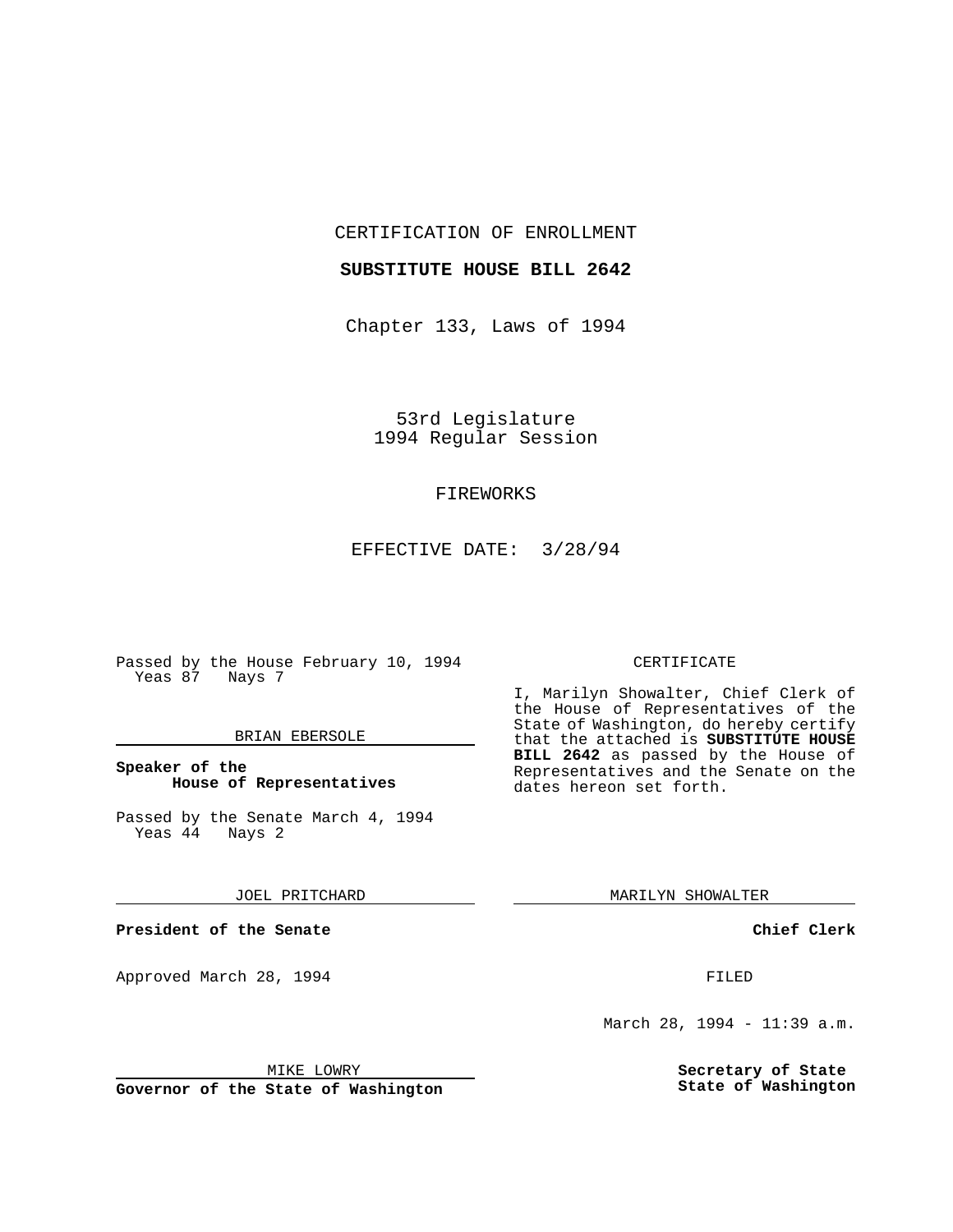CERTIFICATION OF ENROLLMENT

#### **SUBSTITUTE HOUSE BILL 2642**

Chapter 133, Laws of 1994

53rd Legislature 1994 Regular Session

### FIREWORKS

EFFECTIVE DATE: 3/28/94

Passed by the House February 10, 1994 Yeas 87 Nays 7

#### BRIAN EBERSOLE

#### **Speaker of the House of Representatives**

Passed by the Senate March 4, 1994<br>Yeas 44 Nays 2  $Yeas$  44

JOEL PRITCHARD

**President of the Senate**

Approved March 28, 1994 **FILED** 

## CERTIFICATE

I, Marilyn Showalter, Chief Clerk of the House of Representatives of the State of Washington, do hereby certify that the attached is **SUBSTITUTE HOUSE BILL 2642** as passed by the House of Representatives and the Senate on the dates hereon set forth.

MARILYN SHOWALTER

**Chief Clerk**

March 28, 1994 - 11:39 a.m.

**Secretary of State State of Washington**

MIKE LOWRY

**Governor of the State of Washington**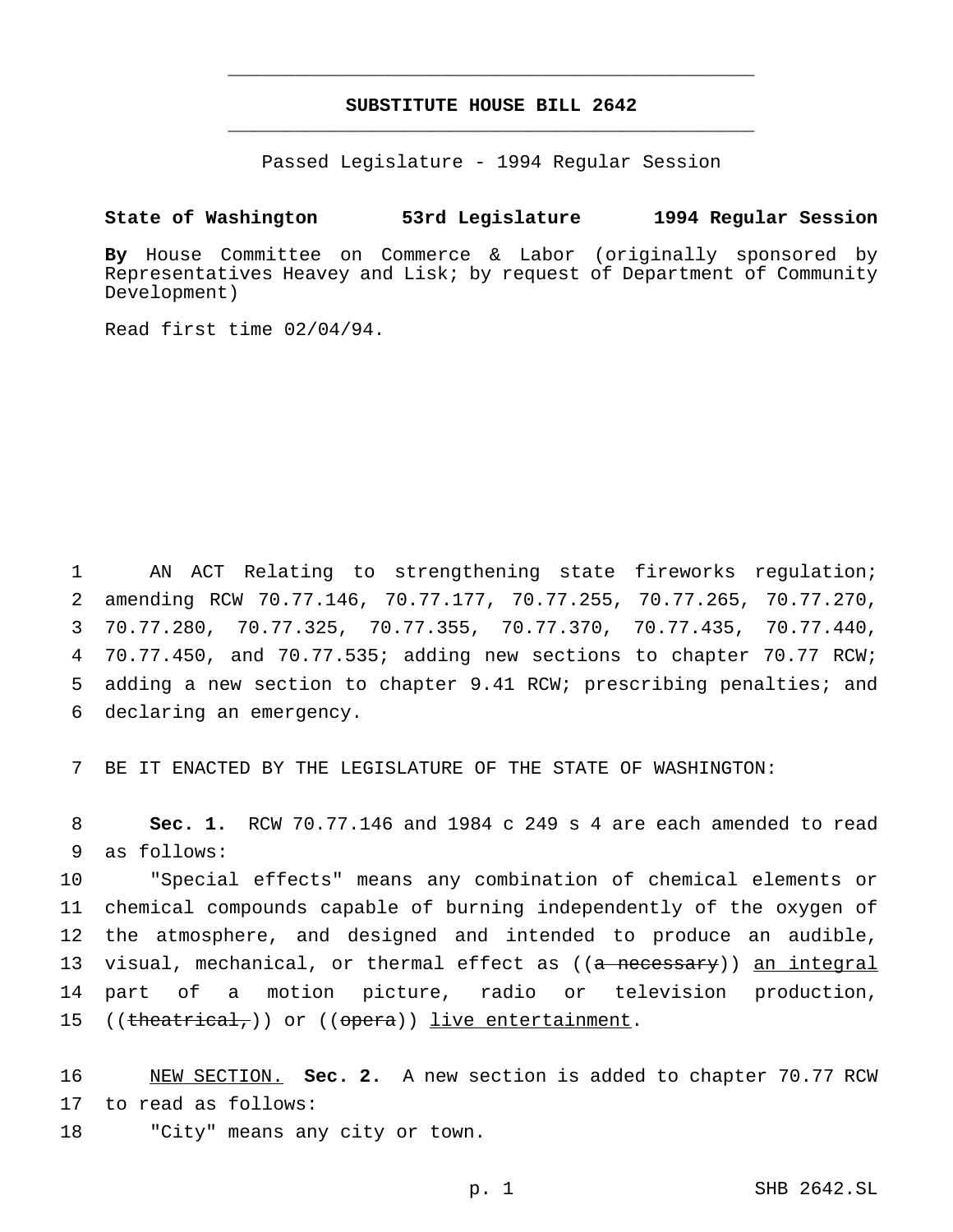# **SUBSTITUTE HOUSE BILL 2642** \_\_\_\_\_\_\_\_\_\_\_\_\_\_\_\_\_\_\_\_\_\_\_\_\_\_\_\_\_\_\_\_\_\_\_\_\_\_\_\_\_\_\_\_\_\_\_

\_\_\_\_\_\_\_\_\_\_\_\_\_\_\_\_\_\_\_\_\_\_\_\_\_\_\_\_\_\_\_\_\_\_\_\_\_\_\_\_\_\_\_\_\_\_\_

Passed Legislature - 1994 Regular Session

#### **State of Washington 53rd Legislature 1994 Regular Session**

**By** House Committee on Commerce & Labor (originally sponsored by Representatives Heavey and Lisk; by request of Department of Community Development)

Read first time 02/04/94.

 AN ACT Relating to strengthening state fireworks regulation; amending RCW 70.77.146, 70.77.177, 70.77.255, 70.77.265, 70.77.270, 70.77.280, 70.77.325, 70.77.355, 70.77.370, 70.77.435, 70.77.440, 70.77.450, and 70.77.535; adding new sections to chapter 70.77 RCW; adding a new section to chapter 9.41 RCW; prescribing penalties; and declaring an emergency.

7 BE IT ENACTED BY THE LEGISLATURE OF THE STATE OF WASHINGTON:

8 **Sec. 1.** RCW 70.77.146 and 1984 c 249 s 4 are each amended to read 9 as follows:

 "Special effects" means any combination of chemical elements or chemical compounds capable of burning independently of the oxygen of the atmosphere, and designed and intended to produce an audible, 13 visual, mechanical, or thermal effect as ((<del>a necessary</del>)) <u>an integral</u> part of a motion picture, radio or television production, 15 ((theatrical,)) or ((opera)) live entertainment.

16 NEW SECTION. **Sec. 2.** A new section is added to chapter 70.77 RCW 17 to read as follows: 18 "City" means any city or town.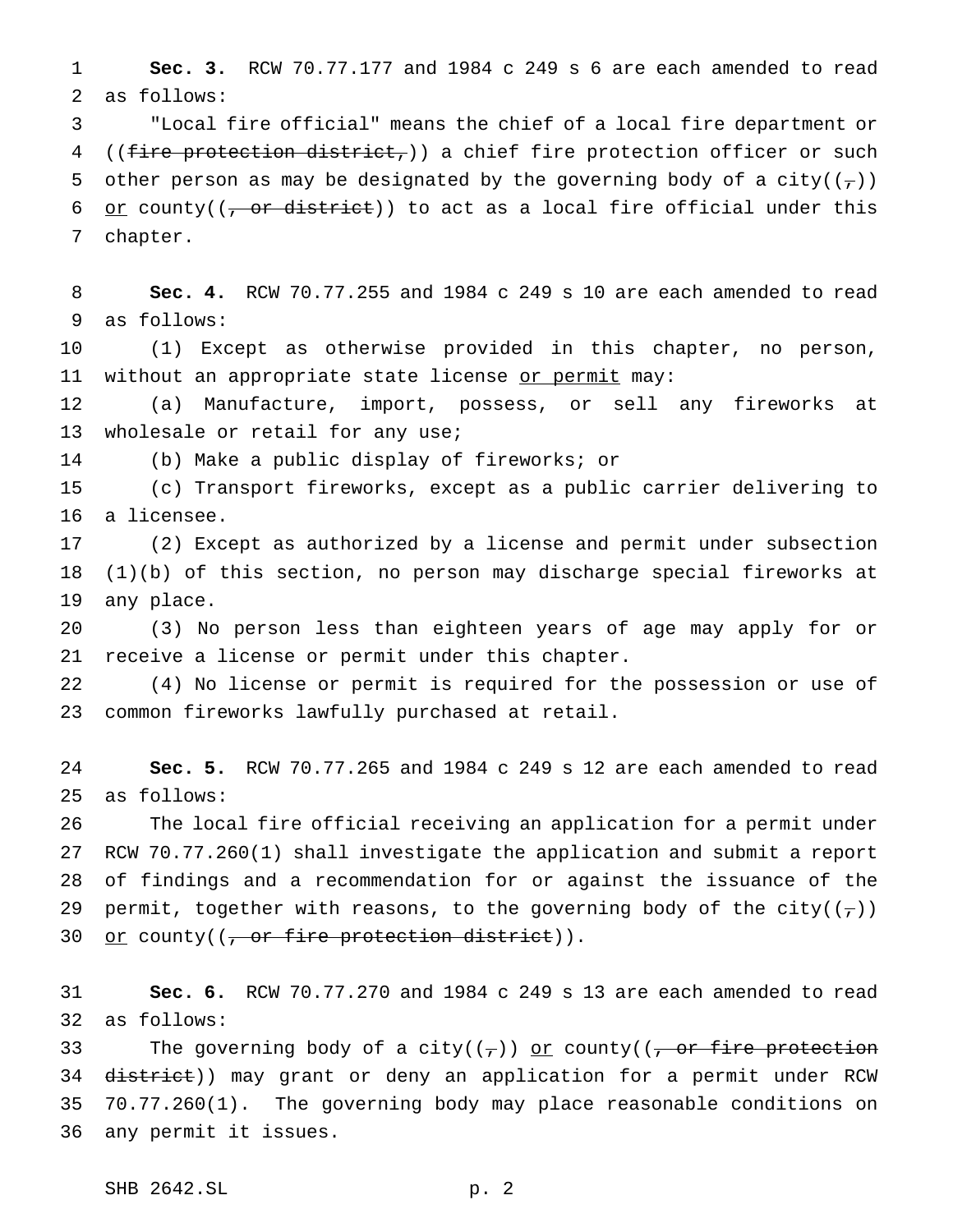**Sec. 3.** RCW 70.77.177 and 1984 c 249 s 6 are each amended to read as follows:

 "Local fire official" means the chief of a local fire department or 4 ((fire protection district,)) a chief fire protection officer or such 5 other person as may be designated by the governing body of a city( $(\tau)$ ) 6 or county( $(-\sigma r \text{ distinct})$ ) to act as a local fire official under this chapter.

 **Sec. 4.** RCW 70.77.255 and 1984 c 249 s 10 are each amended to read as follows:

 (1) Except as otherwise provided in this chapter, no person, 11 without an appropriate state license or permit may:

 (a) Manufacture, import, possess, or sell any fireworks at 13 wholesale or retail for any use;

(b) Make a public display of fireworks; or

 (c) Transport fireworks, except as a public carrier delivering to a licensee.

 (2) Except as authorized by a license and permit under subsection (1)(b) of this section, no person may discharge special fireworks at any place.

 (3) No person less than eighteen years of age may apply for or receive a license or permit under this chapter.

 (4) No license or permit is required for the possession or use of common fireworks lawfully purchased at retail.

 **Sec. 5.** RCW 70.77.265 and 1984 c 249 s 12 are each amended to read as follows:

 The local fire official receiving an application for a permit under RCW 70.77.260(1) shall investigate the application and submit a report of findings and a recommendation for or against the issuance of the 29 permit, together with reasons, to the governing body of the city( $(\tau)$ ) 30 or county( $(-$  or fire protection district)).

 **Sec. 6.** RCW 70.77.270 and 1984 c 249 s 13 are each amended to read as follows:

33 The governing body of a city( $(\tau)$ ) or county( $(\tau)$  or fire protection 34 district)) may grant or deny an application for a permit under RCW 70.77.260(1). The governing body may place reasonable conditions on any permit it issues.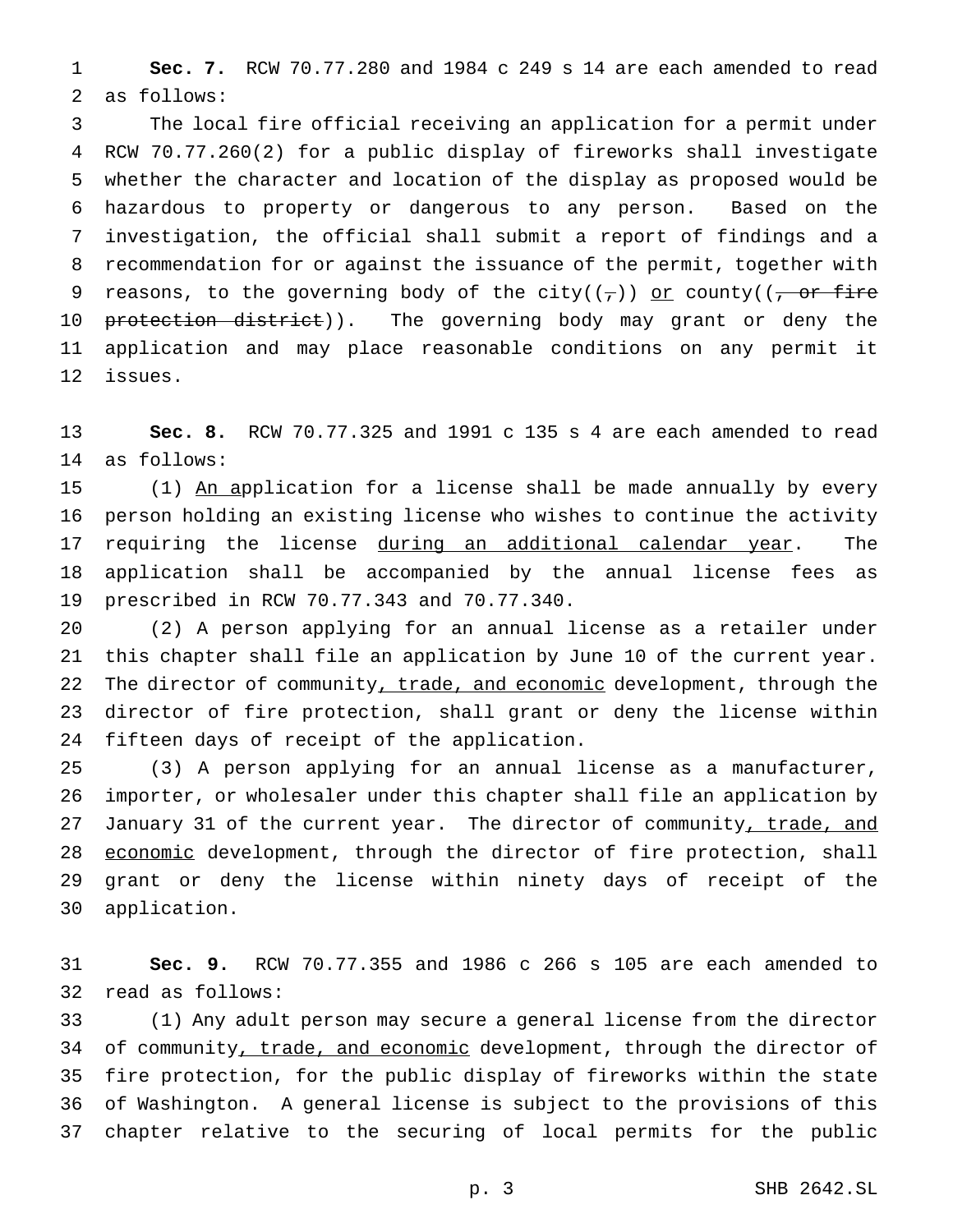**Sec. 7.** RCW 70.77.280 and 1984 c 249 s 14 are each amended to read as follows:

 The local fire official receiving an application for a permit under RCW 70.77.260(2) for a public display of fireworks shall investigate whether the character and location of the display as proposed would be hazardous to property or dangerous to any person. Based on the investigation, the official shall submit a report of findings and a recommendation for or against the issuance of the permit, together with 9 reasons, to the governing body of the city( $(\tau)$ ) or county( $(\tau)$  or fire 10 <del>protection district</del>)). The governing body may grant or deny the application and may place reasonable conditions on any permit it issues.

 **Sec. 8.** RCW 70.77.325 and 1991 c 135 s 4 are each amended to read as follows:

15 (1) An application for a license shall be made annually by every person holding an existing license who wishes to continue the activity 17 requiring the license during an additional calendar year. The application shall be accompanied by the annual license fees as prescribed in RCW 70.77.343 and 70.77.340.

 (2) A person applying for an annual license as a retailer under this chapter shall file an application by June 10 of the current year. 22 The director of community, trade, and economic development, through the director of fire protection, shall grant or deny the license within fifteen days of receipt of the application.

 (3) A person applying for an annual license as a manufacturer, importer, or wholesaler under this chapter shall file an application by 27 January 31 of the current year. The director of community, trade, and 28 economic development, through the director of fire protection, shall grant or deny the license within ninety days of receipt of the application.

 **Sec. 9.** RCW 70.77.355 and 1986 c 266 s 105 are each amended to read as follows:

 (1) Any adult person may secure a general license from the director 34 of community, trade, and economic development, through the director of fire protection, for the public display of fireworks within the state of Washington. A general license is subject to the provisions of this chapter relative to the securing of local permits for the public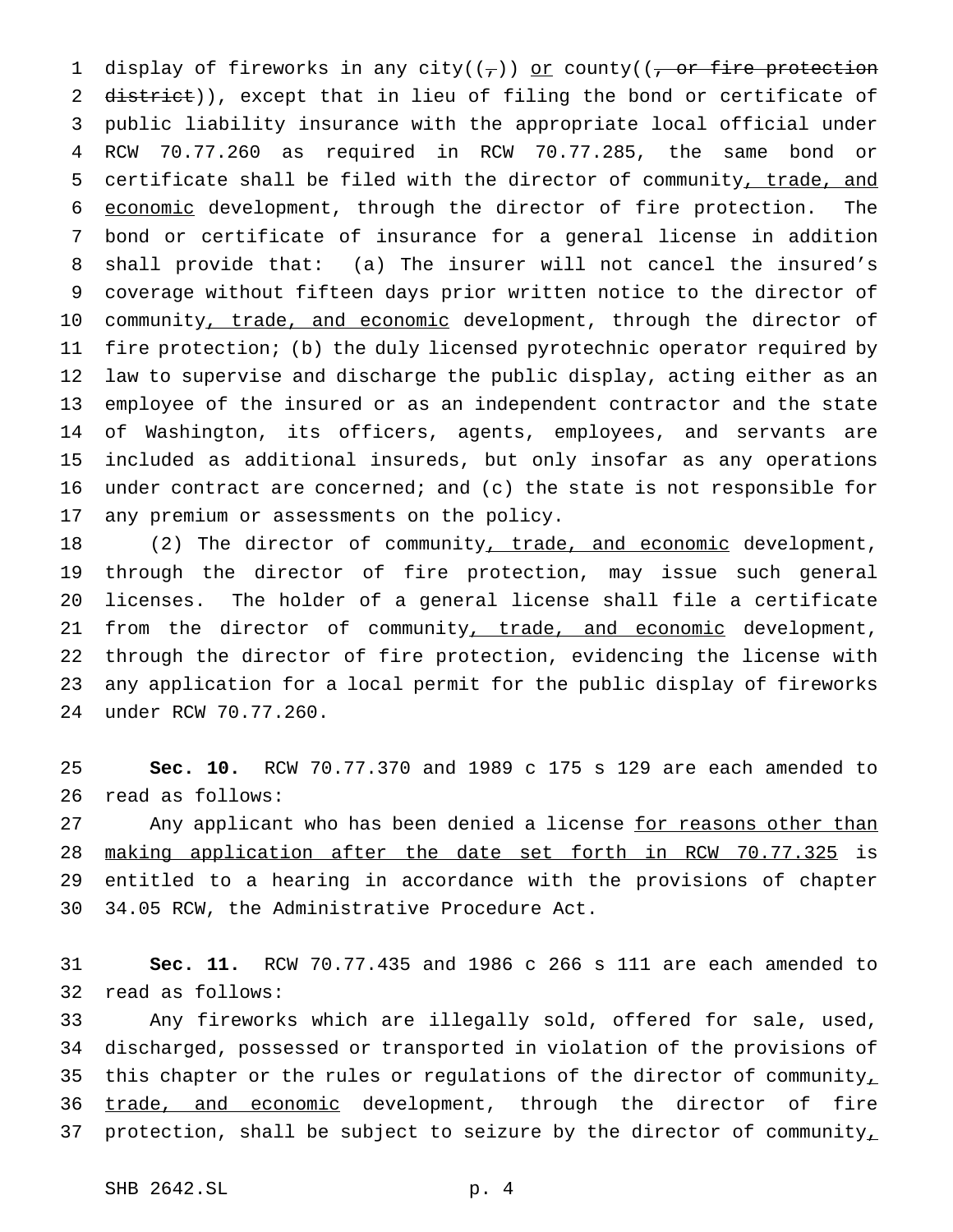1 display of fireworks in any city( $(\tau)$ ) or county( $(\tau)$  or fire protection 2 district)), except that in lieu of filing the bond or certificate of public liability insurance with the appropriate local official under RCW 70.77.260 as required in RCW 70.77.285, the same bond or certificate shall be filed with the director of community, trade, and economic development, through the director of fire protection. The bond or certificate of insurance for a general license in addition shall provide that: (a) The insurer will not cancel the insured's coverage without fifteen days prior written notice to the director of 10 community, trade, and economic development, through the director of fire protection; (b) the duly licensed pyrotechnic operator required by law to supervise and discharge the public display, acting either as an employee of the insured or as an independent contractor and the state of Washington, its officers, agents, employees, and servants are included as additional insureds, but only insofar as any operations under contract are concerned; and (c) the state is not responsible for any premium or assessments on the policy.

18 (2) The director of community<u>, trade, and economic</u> development, through the director of fire protection, may issue such general licenses. The holder of a general license shall file a certificate 21 from the director of community, trade, and economic development, through the director of fire protection, evidencing the license with any application for a local permit for the public display of fireworks under RCW 70.77.260.

 **Sec. 10.** RCW 70.77.370 and 1989 c 175 s 129 are each amended to read as follows:

27 Any applicant who has been denied a license for reasons other than making application after the date set forth in RCW 70.77.325 is entitled to a hearing in accordance with the provisions of chapter 34.05 RCW, the Administrative Procedure Act.

 **Sec. 11.** RCW 70.77.435 and 1986 c 266 s 111 are each amended to read as follows:

 Any fireworks which are illegally sold, offered for sale, used, discharged, possessed or transported in violation of the provisions of 35 this chapter or the rules or regulations of the director of community<sub>1</sub> 36 trade, and economic development, through the director of fire 37 protection, shall be subject to seizure by the director of community,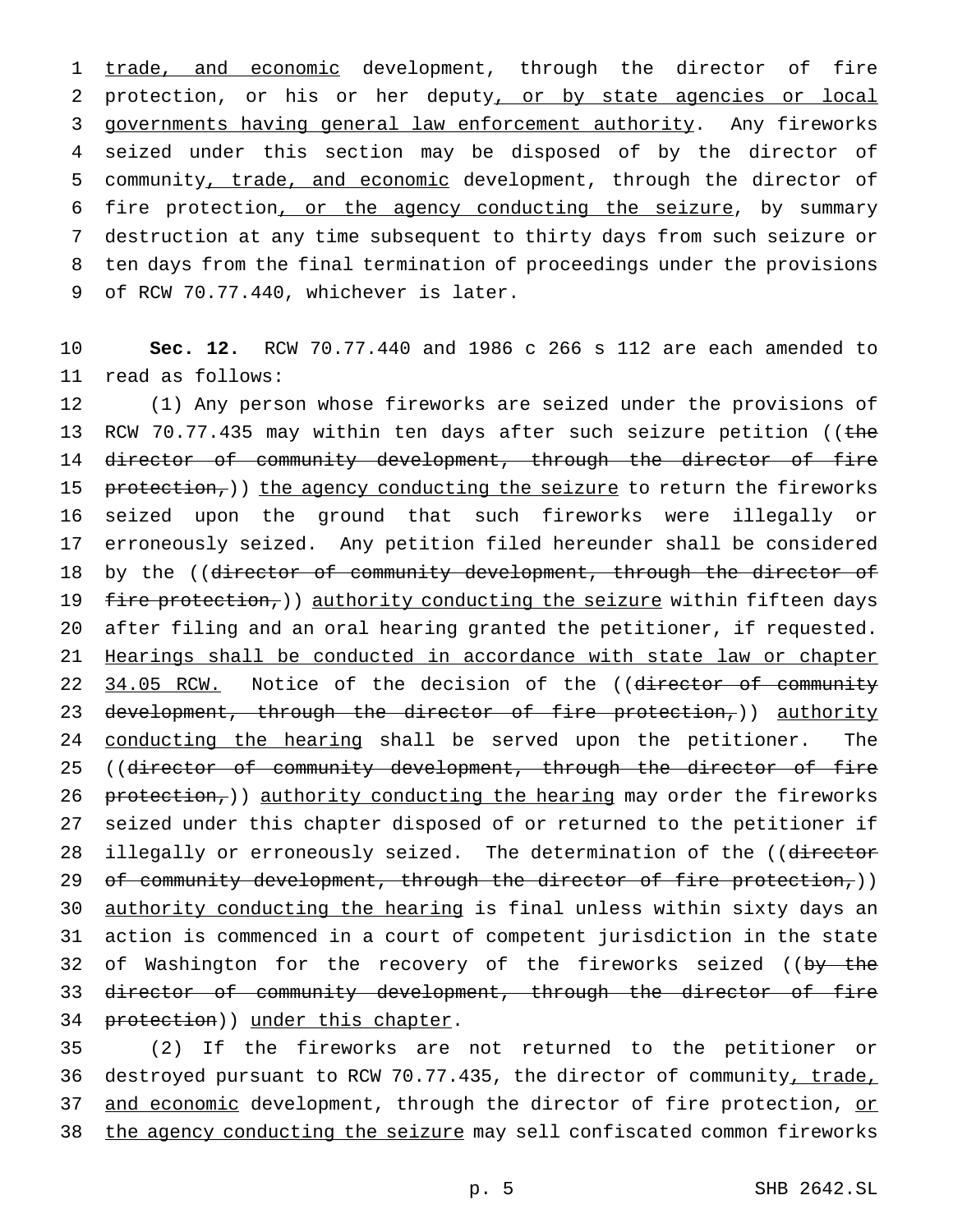1 trade, and economic development, through the director of fire 2 protection, or his or her deputy, or by state agencies or local 3 governments having general law enforcement authority. Any fireworks 4 seized under this section may be disposed of by the director of 5 community, trade, and economic development, through the director of 6 fire protection, or the agency conducting the seizure, by summary 7 destruction at any time subsequent to thirty days from such seizure or 8 ten days from the final termination of proceedings under the provisions 9 of RCW 70.77.440, whichever is later.

10 **Sec. 12.** RCW 70.77.440 and 1986 c 266 s 112 are each amended to 11 read as follows:

12 (1) Any person whose fireworks are seized under the provisions of 13 RCW 70.77.435 may within ten days after such seizure petition ((the 14 director of community development, through the director of fire 15 protection,)) the agency conducting the seizure to return the fireworks 16 seized upon the ground that such fireworks were illegally or 17 erroneously seized. Any petition filed hereunder shall be considered 18 by the ((director of community development, through the director of 19 fire protection,)) authority conducting the seizure within fifteen days 20 after filing and an oral hearing granted the petitioner, if requested. 21 Hearings shall be conducted in accordance with state law or chapter 22 34.05 RCW. Notice of the decision of the ((director of community 23 development, through the director of fire protection,)) authority 24 conducting the hearing shall be served upon the petitioner. The 25 ((director of community development, through the director of fire 26  $prelection<sub>r</sub>)$ ) authority conducting the hearing may order the fireworks 27 seized under this chapter disposed of or returned to the petitioner if 28 illegally or erroneously seized. The determination of the ((director 29 of community development, through the director of fire protection,)) 30 authority conducting the hearing is final unless within sixty days an 31 action is commenced in a court of competent jurisdiction in the state 32 of Washington for the recovery of the fireworks seized ((by the 33 director of community development, through the director of fire 34 protection)) under this chapter.

35 (2) If the fireworks are not returned to the petitioner or 36 destroyed pursuant to RCW 70.77.435, the director of community, trade, 37 and economic development, through the director of fire protection, or 38 the agency conducting the seizure may sell confiscated common fireworks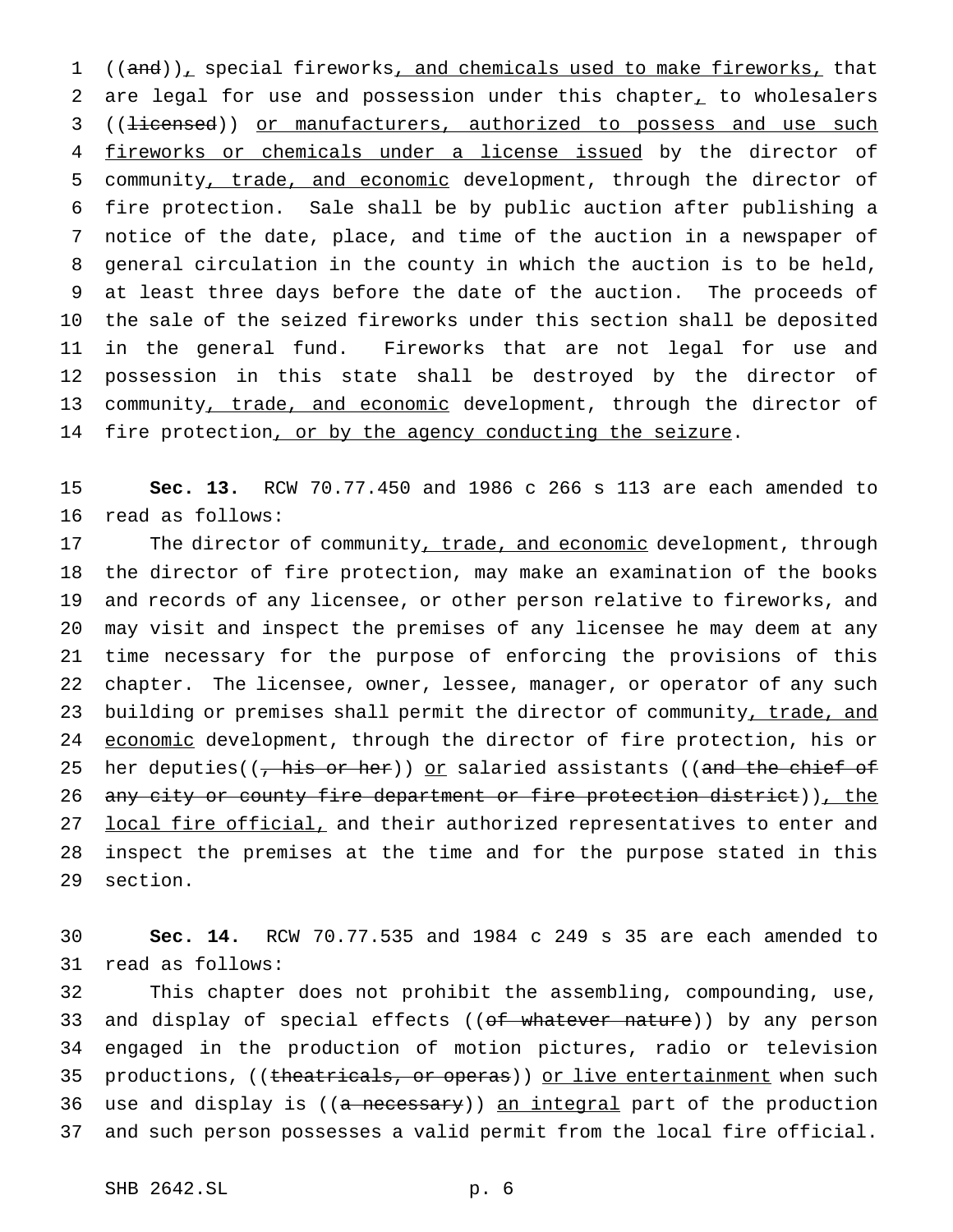1 ((and)), special fireworks, and chemicals used to make fireworks, that 2 are legal for use and possession under this chapter, to wholesalers 3 ((<del>licensed</del>)) or manufacturers, authorized to possess and use such 4 fireworks or chemicals under a license issued by the director of 5 community, trade, and economic development, through the director of 6 fire protection. Sale shall be by public auction after publishing a 7 notice of the date, place, and time of the auction in a newspaper of 8 general circulation in the county in which the auction is to be held, 9 at least three days before the date of the auction. The proceeds of 10 the sale of the seized fireworks under this section shall be deposited 11 in the general fund. Fireworks that are not legal for use and 12 possession in this state shall be destroyed by the director of 13 community, trade, and economic development, through the director of 14 fire protection, or by the agency conducting the seizure.

15 **Sec. 13.** RCW 70.77.450 and 1986 c 266 s 113 are each amended to 16 read as follows:

17 The director of community, trade, and economic development, through 18 the director of fire protection, may make an examination of the books 19 and records of any licensee, or other person relative to fireworks, and 20 may visit and inspect the premises of any licensee he may deem at any 21 time necessary for the purpose of enforcing the provisions of this 22 chapter. The licensee, owner, lessee, manager, or operator of any such 23 building or premises shall permit the director of community, trade, and 24 economic development, through the director of fire protection, his or 25 her deputies( $(\frac{1}{2} + \frac{1}{2})$  or salaried assistants ((and the chief of 26 any city or county fire department or fire protection district)), the 27 local fire official, and their authorized representatives to enter and 28 inspect the premises at the time and for the purpose stated in this 29 section.

30 **Sec. 14.** RCW 70.77.535 and 1984 c 249 s 35 are each amended to 31 read as follows:

32 This chapter does not prohibit the assembling, compounding, use, 33 and display of special effects ((of whatever nature)) by any person 34 engaged in the production of motion pictures, radio or television 35 productions, ((theatricals, or operas)) or live entertainment when such 36 use and display is ((a necessary)) an integral part of the production 37 and such person possesses a valid permit from the local fire official.